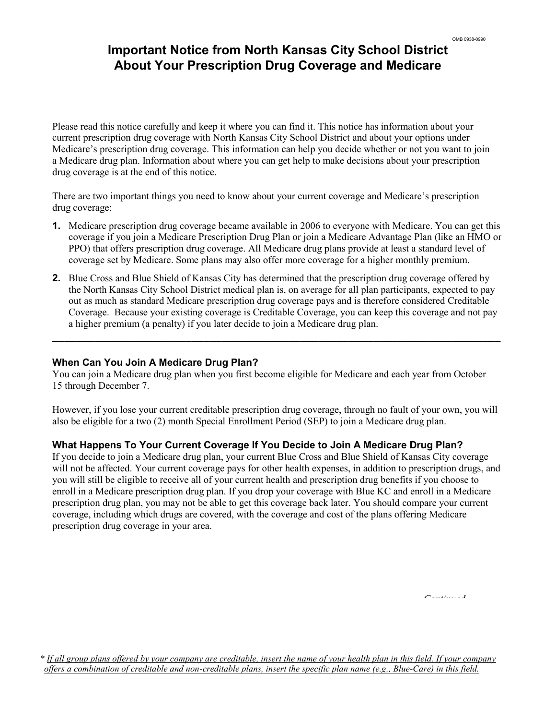# **Important Notice from North Kansas City School District About Your Prescription Drug Coverage and Medicare**

Please read this notice carefully and keep it where you can find it. This notice has information about your current prescription drug coverage with North Kansas City School District and about your options under Medicare's prescription drug coverage. This information can help you decide whether or not you want to join a Medicare drug plan. Information about where you can get help to make decisions about your prescription drug coverage is at the end of this notice.

There are two important things you need to know about your current coverage and Medicare's prescription drug coverage:

- **1.** Medicare prescription drug coverage became available in 2006 to everyone with Medicare. You can get this coverage if you join a Medicare Prescription Drug Plan or join a Medicare Advantage Plan (like an HMO or PPO) that offers prescription drug coverage. All Medicare drug plans provide at least a standard level of coverage set by Medicare. Some plans may also offer more coverage for a higher monthly premium.
- **2.** Blue Cross and Blue Shield of Kansas City has determined that the prescription drug coverage offered by the North Kansas City School District medical plan is, on average for all plan participants, expected to pay out as much as standard Medicare prescription drug coverage pays and is therefore considered Creditable Coverage. Because your existing coverage is Creditable Coverage, you can keep this coverage and not pay a higher premium (a penalty) if you later decide to join a Medicare drug plan.

**\_\_\_\_\_\_\_\_\_\_\_\_\_\_\_\_\_\_\_\_\_\_\_\_\_\_\_\_\_\_\_\_\_\_\_\_\_\_\_\_\_\_\_\_\_\_\_\_\_\_\_\_\_\_\_\_\_\_\_\_\_\_\_\_\_\_\_\_\_\_\_\_\_\_**

#### **When Can You Join A Medicare Drug Plan?**

You can join a Medicare drug plan when you first become eligible for Medicare and each year from October 15 through December 7.

However, if you lose your current creditable prescription drug coverage, through no fault of your own, you will also be eligible for a two (2) month Special Enrollment Period (SEP) to join a Medicare drug plan.

### **What Happens To Your Current Coverage If You Decide to Join A Medicare Drug Plan?**

If you decide to join a Medicare drug plan, your current Blue Cross and Blue Shield of Kansas City coverage will not be affected. Your current coverage pays for other health expenses, in addition to prescription drugs, and you will still be eligible to receive all of your current health and prescription drug benefits if you choose to enroll in a Medicare prescription drug plan. If you drop your coverage with Blue KC and enroll in a Medicare prescription drug plan, you may not be able to get this coverage back later. You should compare your current coverage, including which drugs are covered, with the coverage and cost of the plans offering Medicare prescription drug coverage in your area.

*Continued*

*\* If all group plans offered by your company are creditable, insert the name of your health plan in this field. If your company offers a combination of creditable and non-creditable plans, insert the specific plan name (e.g., Blue-Care) in this field.*